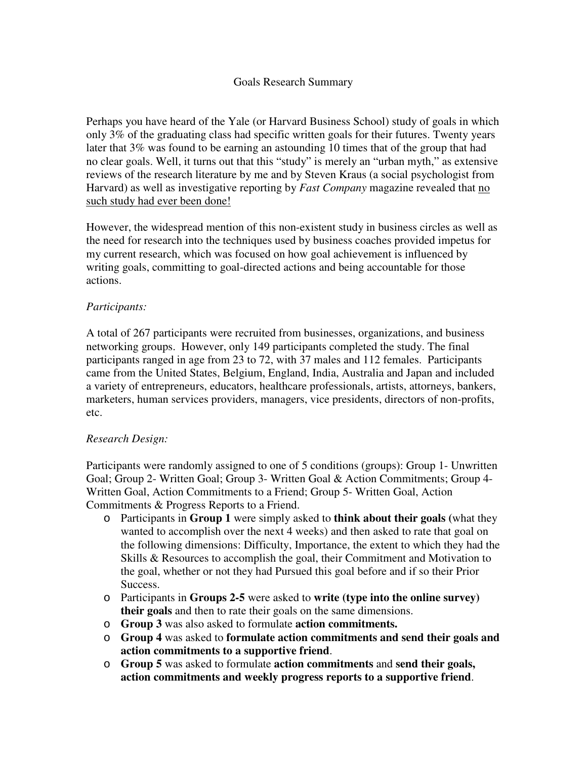## Goals Research Summary

Perhaps you have heard of the Yale (or Harvard Business School) study of goals in which only 3% of the graduating class had specific written goals for their futures. Twenty years later that 3% was found to be earning an astounding 10 times that of the group that had no clear goals. Well, it turns out that this "study" is merely an "urban myth," as extensive reviews of the research literature by me and by Steven Kraus (a social psychologist from Harvard) as well as investigative reporting by *Fast Company* magazine revealed that no such study had ever been done!

However, the widespread mention of this non-existent study in business circles as well as the need for research into the techniques used by business coaches provided impetus for my current research, which was focused on how goal achievement is influenced by writing goals, committing to goal-directed actions and being accountable for those actions.

#### *Participants:*

A total of 267 participants were recruited from businesses, organizations, and business networking groups. However, only 149 participants completed the study. The final participants ranged in age from 23 to 72, with 37 males and 112 females. Participants came from the United States, Belgium, England, India, Australia and Japan and included a variety of entrepreneurs, educators, healthcare professionals, artists, attorneys, bankers, marketers, human services providers, managers, vice presidents, directors of non-profits, etc.

#### *Research Design:*

Participants were randomly assigned to one of 5 conditions (groups): Group 1- Unwritten Goal; Group 2- Written Goal; Group 3- Written Goal & Action Commitments; Group 4- Written Goal, Action Commitments to a Friend; Group 5- Written Goal, Action Commitments & Progress Reports to a Friend.

- o Participants in **Group 1** were simply asked to **think about their goals (**what they wanted to accomplish over the next 4 weeks) and then asked to rate that goal on the following dimensions: Difficulty, Importance, the extent to which they had the Skills & Resources to accomplish the goal, their Commitment and Motivation to the goal, whether or not they had Pursued this goal before and if so their Prior Success.
- o Participants in **Groups 2-5** were asked to **write (type into the online survey) their goals** and then to rate their goals on the same dimensions.
- o **Group 3** was also asked to formulate **action commitments.**
- o **Group 4** was asked to **formulate action commitments and send their goals and action commitments to a supportive friend**.
- o **Group 5** was asked to formulate **action commitments** and **send their goals, action commitments and weekly progress reports to a supportive friend**.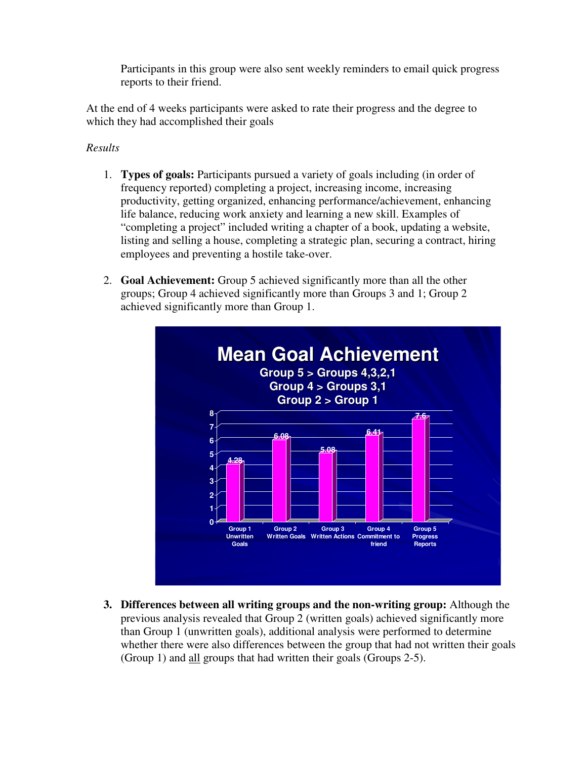Participants in this group were also sent weekly reminders to email quick progress reports to their friend.

At the end of 4 weeks participants were asked to rate their progress and the degree to which they had accomplished their goals

# *Results*

- 1. **Types of goals:** Participants pursued a variety of goals including (in order of frequency reported) completing a project, increasing income, increasing productivity, getting organized, enhancing performance/achievement, enhancing life balance, reducing work anxiety and learning a new skill. Examples of "completing a project" included writing a chapter of a book, updating a website, listing and selling a house, completing a strategic plan, securing a contract, hiring employees and preventing a hostile take-over.
- 2. **Goal Achievement:** Group 5 achieved significantly more than all the other groups; Group 4 achieved significantly more than Groups 3 and 1; Group 2 achieved significantly more than Group 1.



**3. Differences between all writing groups and the non-writing group:** Although the previous analysis revealed that Group 2 (written goals) achieved significantly more than Group 1 (unwritten goals), additional analysis were performed to determine whether there were also differences between the group that had not written their goals (Group 1) and all groups that had written their goals (Groups 2-5).